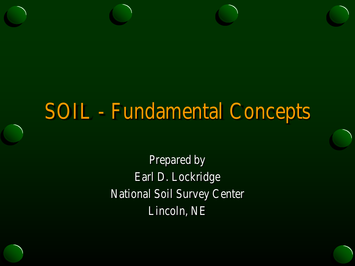### SOIL - Fundamental Concepts

Prepared by Earl D. Lockridge National Soil Survey Center Lincoln, NE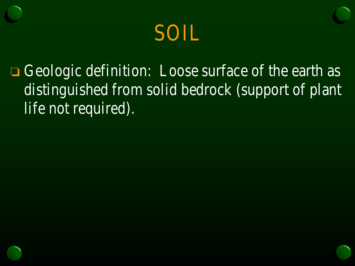

□ Geologic definition: Loose surface of the earth as distinguished from solid bedrock (support of plant life not required).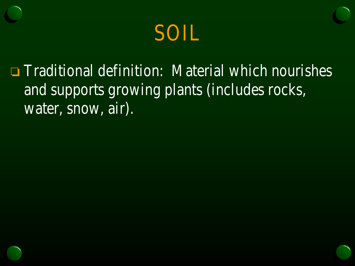

 $\Box$  Traditional definition: Material which nourishes and supports growing plants (includes rocks, water, snow, air).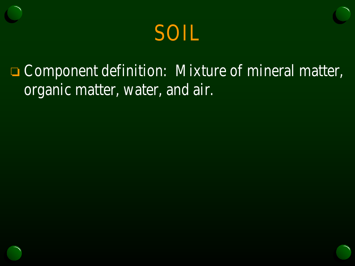

### **Component definition: Mixture of mineral matter,** organic matter, water, and air.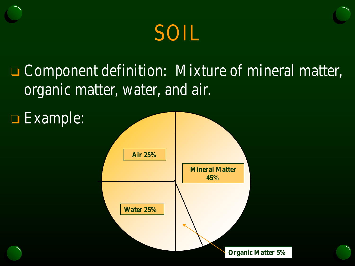

### **□ Component definition: Mixture of mineral matter,** organic matter, water, and air.

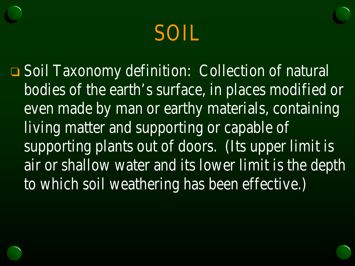### SOIL

□ Soil Taxonomy definition: Collection of natural bodies of the earth's surface, in places modified or even made by man or earthy materials, containing living matter and supporting or capable of supporting plants out of doors. (Its upper limit is air or shallow water and its lower limit is the depth to which soil weathering has been effective.)

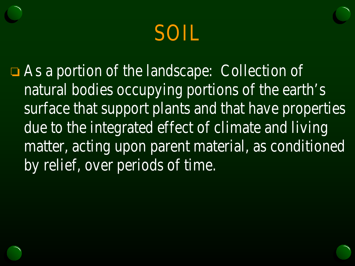### SOIL

As a portion of the landscape: Collection of natural bodies occupying portions of the earth's surface that support plants and that have properties due to the integrated effect of climate and living matter, acting upon parent material, as conditioned by relief, over periods of time.

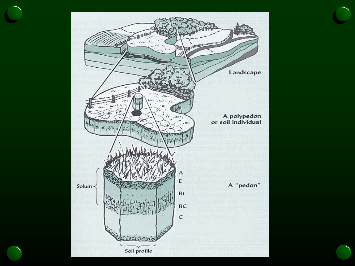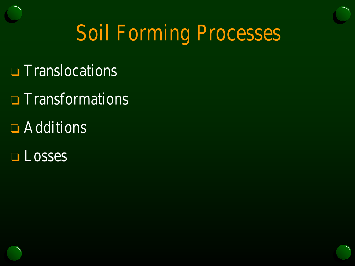# Soil Forming Processes

- **T** Translocations
- **Transformations**
- **E** Additions
- **Losses**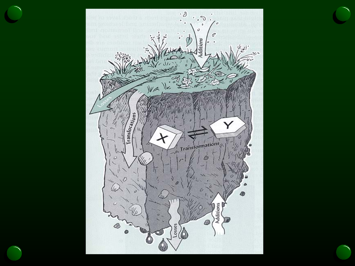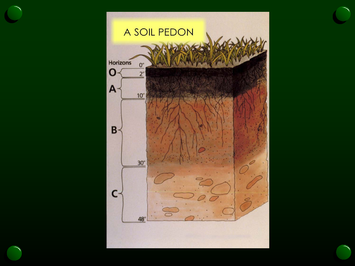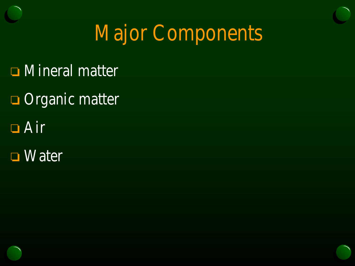# Major Components

- **□** Mineral matter
- **Organic matter**
- Air
- **□** Water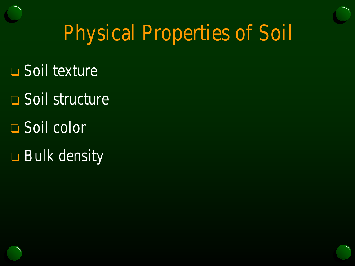# Physical Properties of Soil

- Soil texture
- **□ Soil structure**
- **□** Soil color
- **Bulk density**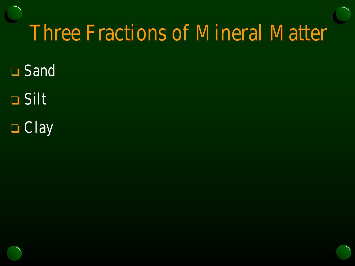## Three Fractions of Mineral Matter

- **□ Sand**
- Silt
- **O** Clay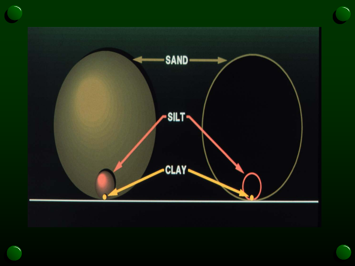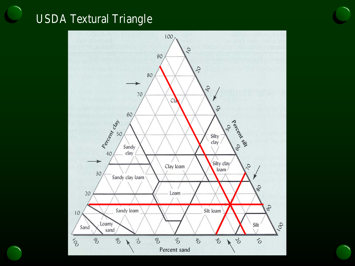#### USDA Textural Triangle

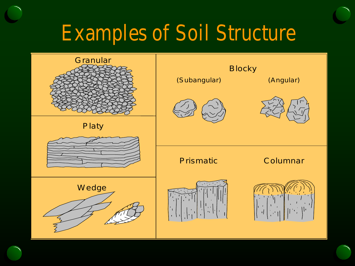# Examples of Soil Structure

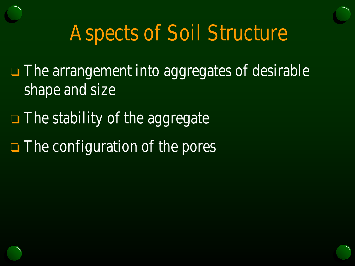# Aspects of Soil Structure

- $\Box$  The arrangement into aggregates of desirable shape and size
- $\Box$  The stability of the aggregate
- The configuration of the pores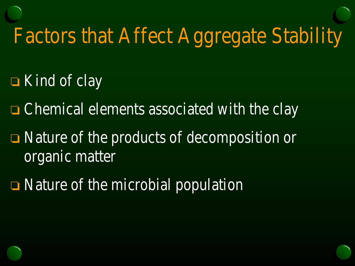# Factors that Affect Aggregate Stability

- $\Box$  Kind of clay
- **□ Chemical elements associated with the clay**
- Nature of the products of decomposition or organic matter
- $\Box$  Nature of the microbial population

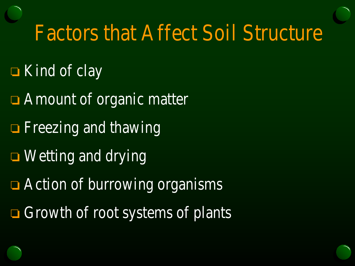# Factors that Affect Soil Structure

- $\Box$  Kind of clay
- **□** Amount of organic matter
- **Fi** Freezing and thawing
- **□** Wetting and drying
- **□** Action of burrowing organisms
- $\Box$  Growth of root systems of plants

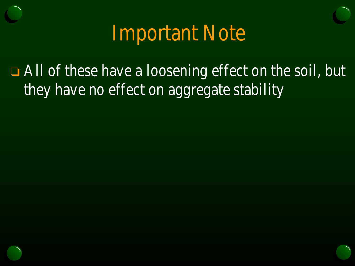Important Note

**Example 3** All of these have a loosening effect on the soil, but they have no effect on aggregate stability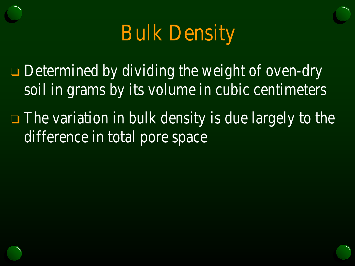### Bulk Density

 $\Box$  Determined by dividing the weight of oven-dry soil in grams by its volume in cubic centimeters

**The variation in bulk density is due largely to the** difference in total pore space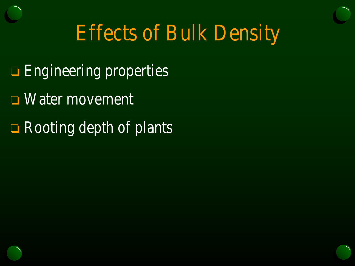# Effects of Bulk Density

- **Engineering properties**
- **Water movement**
- $\Box$  Rooting depth of plants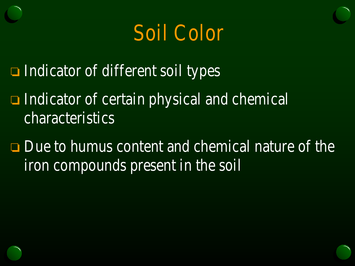## Soil Color

- $\Box$  Indicator of different soil types
- $\Box$  Indicator of certain physical and chemical characteristics
- $\Box$  Due to humus content and chemical nature of the iron compounds present in the soil